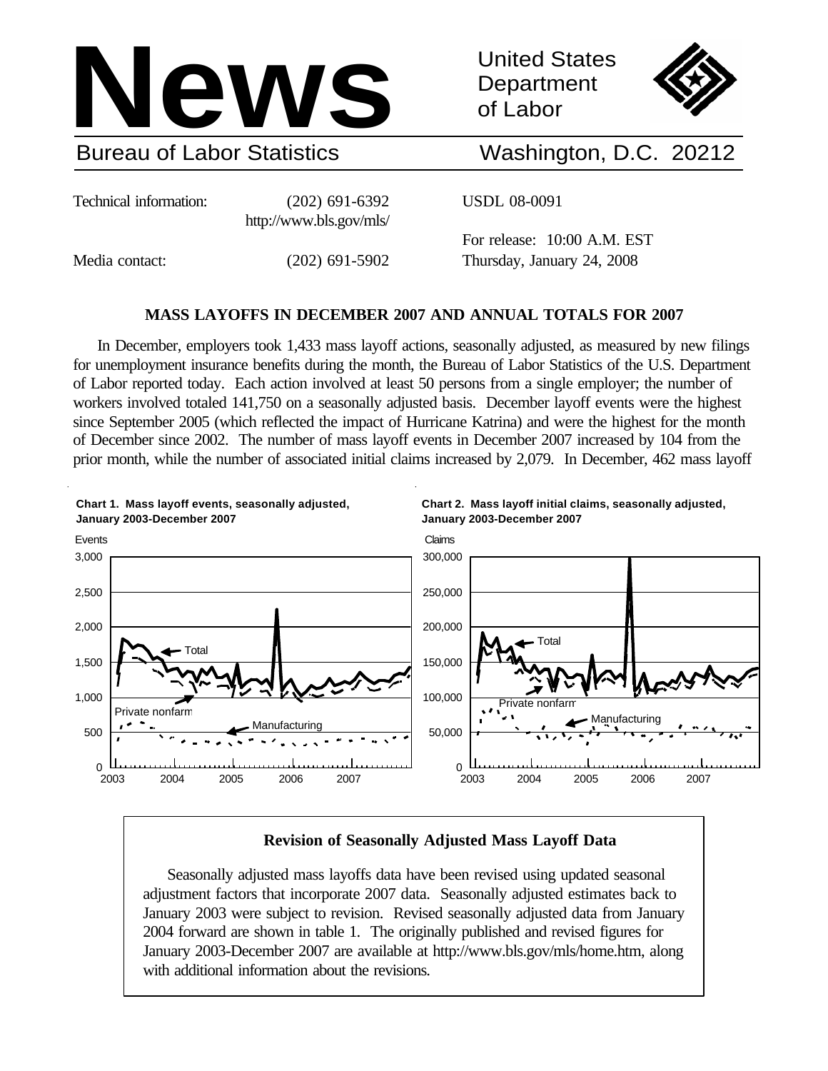

United States **Department** of Labor



# Washington, D.C. 20212

Technical information: (202) 691-6392

http://www.bls.gov/mls/

USDL 08-0091

Media contact: (202) 691-5902

For release: 10:00 A.M. EST Thursday, January 24, 2008

# **MASS LAYOFFS IN DECEMBER 2007 AND ANNUAL TOTALS FOR 2007**

In December, employers took 1,433 mass layoff actions, seasonally adjusted, as measured by new filings for unemployment insurance benefits during the month, the Bureau of Labor Statistics of the U.S. Department of Labor reported today. Each action involved at least 50 persons from a single employer; the number of workers involved totaled 141,750 on a seasonally adjusted basis. December layoff events were the highest since September 2005 (which reflected the impact of Hurricane Katrina) and were the highest for the month of December since 2002. The number of mass layoff events in December 2007 increased by 104 from the prior month, while the number of associated initial claims increased by 2,079. In December, 462 mass layoff



# **Revision of Seasonally Adjusted Mass Layoff Data**

Seasonally adjusted mass layoffs data have been revised using updated seasonal adjustment factors that incorporate 2007 data. Seasonally adjusted estimates back to January 2003 were subject to revision. Revised seasonally adjusted data from January 2004 forward are shown in table 1. The originally published and revised figures for January 2003-December 2007 are available at http://www.bls.gov/mls/home.htm, along with additional information about the revisions.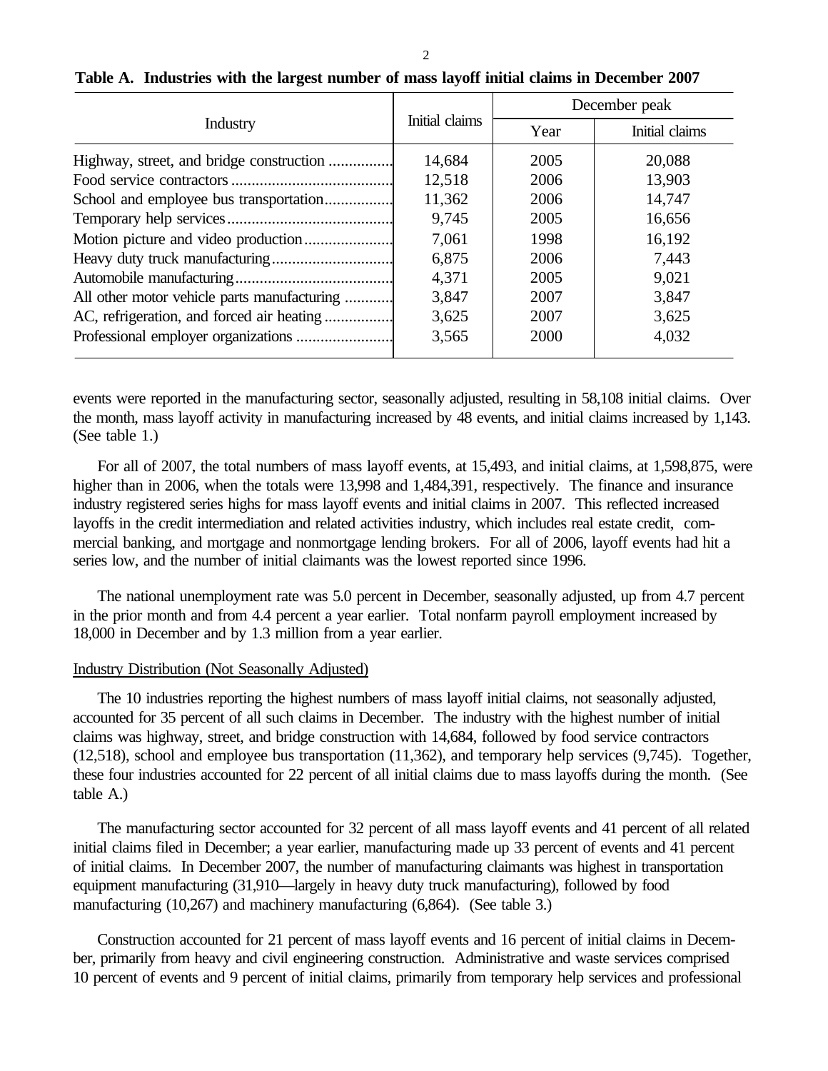|                                             |                | December peak |                |  |  |
|---------------------------------------------|----------------|---------------|----------------|--|--|
| Industry                                    | Initial claims | Year          | Initial claims |  |  |
| Highway, street, and bridge construction    | 14,684         | 2005          | 20,088         |  |  |
|                                             | 12,518         | 2006          | 13,903         |  |  |
| School and employee bus transportation      | 11,362         | 2006          | 14,747         |  |  |
|                                             | 9,745          | 2005          | 16,656         |  |  |
| Motion picture and video production         | 7,061          | 1998          | 16,192         |  |  |
|                                             | 6,875          | 2006          | 7,443          |  |  |
|                                             | 4,371          | 2005          | 9,021          |  |  |
| All other motor vehicle parts manufacturing | 3,847          | 2007          | 3,847          |  |  |
| AC, refrigeration, and forced air heating   | 3,625          | 2007          | 3,625          |  |  |
|                                             | 3,565          | 2000          | 4,032          |  |  |

# **Table A. Industries with the largest number of mass layoff initial claims in December 2007**

events were reported in the manufacturing sector, seasonally adjusted, resulting in 58,108 initial claims. Over the month, mass layoff activity in manufacturing increased by 48 events, and initial claims increased by 1,143. (See table 1.)

For all of 2007, the total numbers of mass layoff events, at 15,493, and initial claims, at 1,598,875, were higher than in 2006, when the totals were 13,998 and 1,484,391, respectively. The finance and insurance industry registered series highs for mass layoff events and initial claims in 2007. This reflected increased layoffs in the credit intermediation and related activities industry, which includes real estate credit, commercial banking, and mortgage and nonmortgage lending brokers. For all of 2006, layoff events had hit a series low, and the number of initial claimants was the lowest reported since 1996.

The national unemployment rate was 5.0 percent in December, seasonally adjusted, up from 4.7 percent in the prior month and from 4.4 percent a year earlier. Total nonfarm payroll employment increased by 18,000 in December and by 1.3 million from a year earlier.

## Industry Distribution (Not Seasonally Adjusted)

The 10 industries reporting the highest numbers of mass layoff initial claims, not seasonally adjusted, accounted for 35 percent of all such claims in December. The industry with the highest number of initial claims was highway, street, and bridge construction with 14,684, followed by food service contractors (12,518), school and employee bus transportation (11,362), and temporary help services (9,745). Together, these four industries accounted for 22 percent of all initial claims due to mass layoffs during the month. (See table A.)

The manufacturing sector accounted for 32 percent of all mass layoff events and 41 percent of all related initial claims filed in December; a year earlier, manufacturing made up 33 percent of events and 41 percent of initial claims. In December 2007, the number of manufacturing claimants was highest in transportation equipment manufacturing (31,910—largely in heavy duty truck manufacturing), followed by food manufacturing (10,267) and machinery manufacturing (6,864). (See table 3.)

Construction accounted for 21 percent of mass layoff events and 16 percent of initial claims in December, primarily from heavy and civil engineering construction. Administrative and waste services comprised 10 percent of events and 9 percent of initial claims, primarily from temporary help services and professional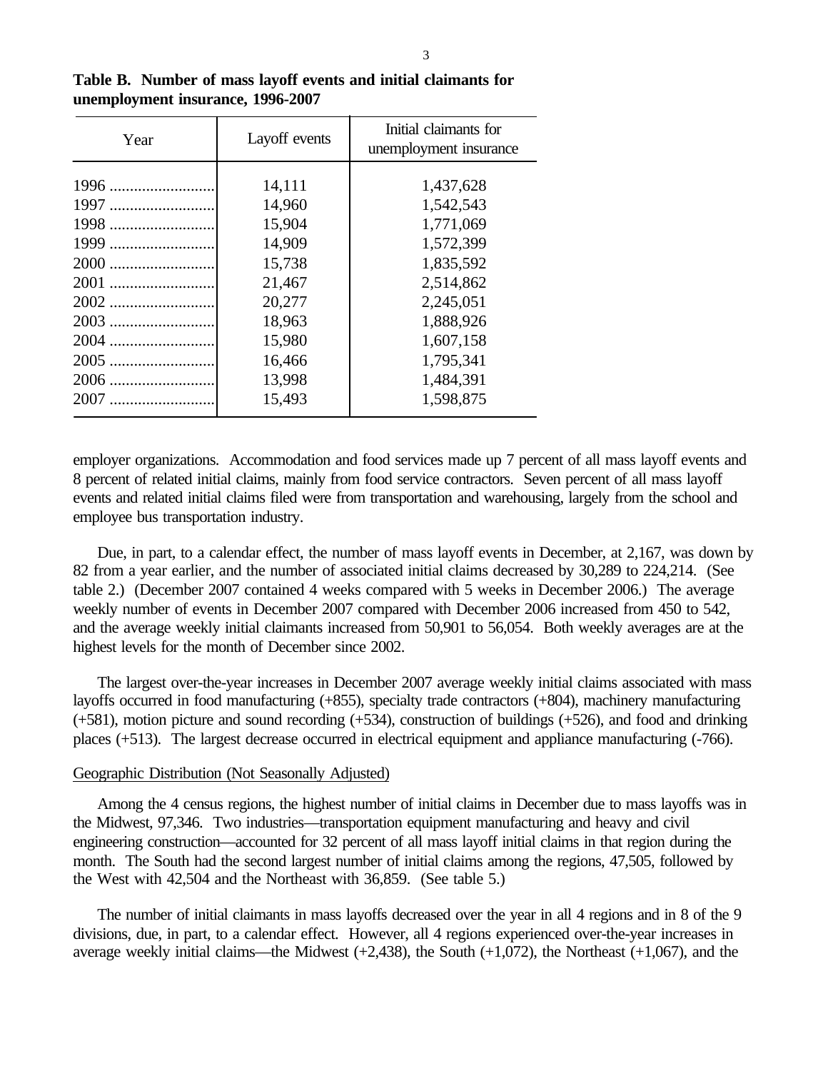| Year                                                 | Layoff events                                                                                              | Initial claimants for<br>unemployment insurance                                                                                             |  |  |  |  |
|------------------------------------------------------|------------------------------------------------------------------------------------------------------------|---------------------------------------------------------------------------------------------------------------------------------------------|--|--|--|--|
| 1996<br>1997<br>1998<br>1999<br>2002<br>2004<br>2005 | 14,111<br>14,960<br>15,904<br>14,909<br>15,738<br>21,467<br>20,277<br>18,963<br>15,980<br>16,466<br>13,998 | 1,437,628<br>1,542,543<br>1,771,069<br>1,572,399<br>1,835,592<br>2,514,862<br>2,245,051<br>1,888,926<br>1,607,158<br>1,795,341<br>1,484,391 |  |  |  |  |
| 2007                                                 | 15,493                                                                                                     | 1,598,875                                                                                                                                   |  |  |  |  |

**Table B. Number of mass layoff events and initial claimants for unemployment insurance, 1996-2007**

employer organizations. Accommodation and food services made up 7 percent of all mass layoff events and 8 percent of related initial claims, mainly from food service contractors. Seven percent of all mass layoff events and related initial claims filed were from transportation and warehousing, largely from the school and employee bus transportation industry.

Due, in part, to a calendar effect, the number of mass layoff events in December, at 2,167, was down by 82 from a year earlier, and the number of associated initial claims decreased by 30,289 to 224,214. (See table 2.) (December 2007 contained 4 weeks compared with 5 weeks in December 2006.) The average weekly number of events in December 2007 compared with December 2006 increased from 450 to 542, and the average weekly initial claimants increased from 50,901 to 56,054. Both weekly averages are at the highest levels for the month of December since 2002.

The largest over-the-year increases in December 2007 average weekly initial claims associated with mass layoffs occurred in food manufacturing (+855), specialty trade contractors (+804), machinery manufacturing (+581), motion picture and sound recording (+534), construction of buildings (+526), and food and drinking places (+513). The largest decrease occurred in electrical equipment and appliance manufacturing (-766).

# Geographic Distribution (Not Seasonally Adjusted)

Among the 4 census regions, the highest number of initial claims in December due to mass layoffs was in the Midwest, 97,346. Two industries—transportation equipment manufacturing and heavy and civil engineering construction—accounted for 32 percent of all mass layoff initial claims in that region during the month. The South had the second largest number of initial claims among the regions, 47,505, followed by the West with 42,504 and the Northeast with 36,859. (See table 5.)

The number of initial claimants in mass layoffs decreased over the year in all 4 regions and in 8 of the 9 divisions, due, in part, to a calendar effect. However, all 4 regions experienced over-the-year increases in average weekly initial claims—the Midwest  $(+2,438)$ , the South  $(+1,072)$ , the Northeast  $(+1,067)$ , and the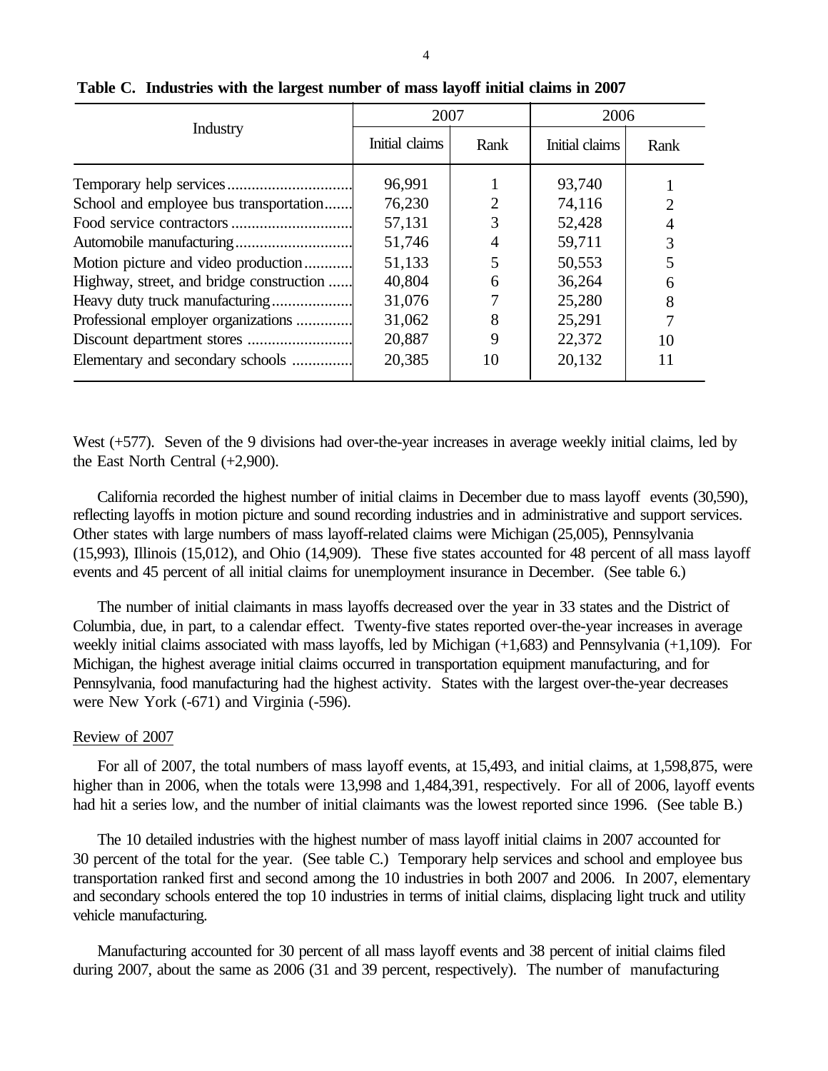|                                          |                                                                                                                                                                                                                                                                                            | 2006 |                             |  |
|------------------------------------------|--------------------------------------------------------------------------------------------------------------------------------------------------------------------------------------------------------------------------------------------------------------------------------------------|------|-----------------------------|--|
| Industry                                 | 2007<br>Initial claims<br>Rank<br>Initial claims<br>96,991<br>93,740<br>76,230<br>$\overline{2}$<br>74,116<br>57,131<br>52,428<br>51,746<br>59,711<br>51,133<br>50,553<br>40,804<br>36,264<br>6<br>31,076<br>25,280<br>25,291<br>31,062<br>20,887<br>22,372<br>9<br>20,385<br>20,132<br>10 | Rank |                             |  |
|                                          |                                                                                                                                                                                                                                                                                            |      |                             |  |
| School and employee bus transportation   |                                                                                                                                                                                                                                                                                            |      | $\mathcal{D}_{\mathcal{L}}$ |  |
|                                          |                                                                                                                                                                                                                                                                                            |      | 4                           |  |
|                                          |                                                                                                                                                                                                                                                                                            |      | 3                           |  |
| Motion picture and video production      |                                                                                                                                                                                                                                                                                            |      |                             |  |
| Highway, street, and bridge construction |                                                                                                                                                                                                                                                                                            |      | 6                           |  |
| Heavy duty truck manufacturing           |                                                                                                                                                                                                                                                                                            |      | 8                           |  |
| Professional employer organizations      |                                                                                                                                                                                                                                                                                            |      |                             |  |
|                                          |                                                                                                                                                                                                                                                                                            |      | 10                          |  |
| Elementary and secondary schools         |                                                                                                                                                                                                                                                                                            |      | 11                          |  |

# **Table C. Industries with the largest number of mass layoff initial claims in 2007**

West (+577). Seven of the 9 divisions had over-the-year increases in average weekly initial claims, led by the East North Central (+2,900).

California recorded the highest number of initial claims in December due to mass layoff events (30,590), reflecting layoffs in motion picture and sound recording industries and in administrative and support services. Other states with large numbers of mass layoff-related claims were Michigan (25,005), Pennsylvania (15,993), Illinois (15,012), and Ohio (14,909). These five states accounted for 48 percent of all mass layoff events and 45 percent of all initial claims for unemployment insurance in December. (See table 6.)

The number of initial claimants in mass layoffs decreased over the year in 33 states and the District of Columbia, due, in part, to a calendar effect. Twenty-five states reported over-the-year increases in average weekly initial claims associated with mass layoffs, led by Michigan (+1,683) and Pennsylvania (+1,109). For Michigan, the highest average initial claims occurred in transportation equipment manufacturing, and for Pennsylvania, food manufacturing had the highest activity. States with the largest over-the-year decreases were New York (-671) and Virginia (-596).

### Review of 2007

For all of 2007, the total numbers of mass layoff events, at 15,493, and initial claims, at 1,598,875, were higher than in 2006, when the totals were 13,998 and 1,484,391, respectively. For all of 2006, layoff events had hit a series low, and the number of initial claimants was the lowest reported since 1996. (See table B.)

The 10 detailed industries with the highest number of mass layoff initial claims in 2007 accounted for 30 percent of the total for the year. (See table C.) Temporary help services and school and employee bus transportation ranked first and second among the 10 industries in both 2007 and 2006. In 2007, elementary and secondary schools entered the top 10 industries in terms of initial claims, displacing light truck and utility vehicle manufacturing.

Manufacturing accounted for 30 percent of all mass layoff events and 38 percent of initial claims filed during 2007, about the same as 2006 (31 and 39 percent, respectively). The number of manufacturing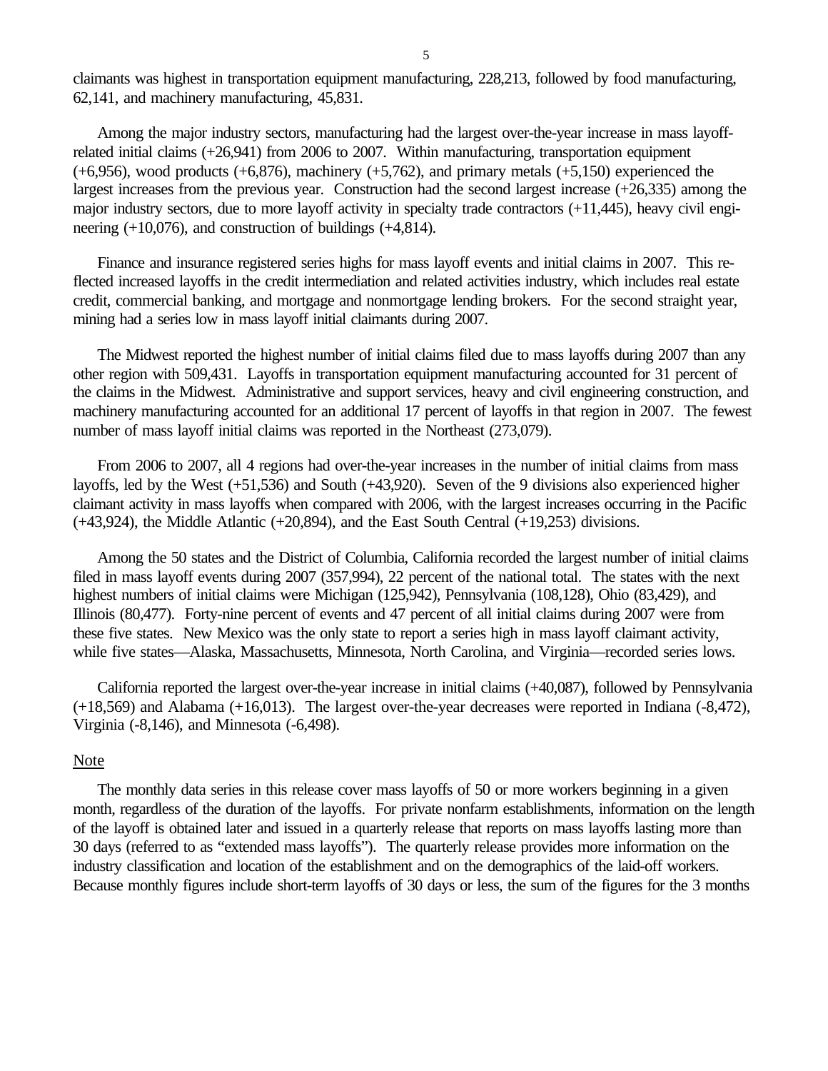claimants was highest in transportation equipment manufacturing, 228,213, followed by food manufacturing, 62,141, and machinery manufacturing, 45,831.

Among the major industry sectors, manufacturing had the largest over-the-year increase in mass layoffrelated initial claims (+26,941) from 2006 to 2007. Within manufacturing, transportation equipment  $(+6,956)$ , wood products  $(+6,876)$ , machinery  $(+5,762)$ , and primary metals  $(+5,150)$  experienced the largest increases from the previous year. Construction had the second largest increase (+26,335) among the major industry sectors, due to more layoff activity in specialty trade contractors (+11,445), heavy civil engineering  $(+10,076)$ , and construction of buildings  $(+4,814)$ .

Finance and insurance registered series highs for mass layoff events and initial claims in 2007. This reflected increased layoffs in the credit intermediation and related activities industry, which includes real estate credit, commercial banking, and mortgage and nonmortgage lending brokers. For the second straight year, mining had a series low in mass layoff initial claimants during 2007.

The Midwest reported the highest number of initial claims filed due to mass layoffs during 2007 than any other region with 509,431. Layoffs in transportation equipment manufacturing accounted for 31 percent of the claims in the Midwest. Administrative and support services, heavy and civil engineering construction, and machinery manufacturing accounted for an additional 17 percent of layoffs in that region in 2007. The fewest number of mass layoff initial claims was reported in the Northeast (273,079).

From 2006 to 2007, all 4 regions had over-the-year increases in the number of initial claims from mass layoffs, led by the West (+51,536) and South (+43,920). Seven of the 9 divisions also experienced higher claimant activity in mass layoffs when compared with 2006, with the largest increases occurring in the Pacific (+43,924), the Middle Atlantic (+20,894), and the East South Central (+19,253) divisions.

Among the 50 states and the District of Columbia, California recorded the largest number of initial claims filed in mass layoff events during 2007 (357,994), 22 percent of the national total. The states with the next highest numbers of initial claims were Michigan (125,942), Pennsylvania (108,128), Ohio (83,429), and Illinois (80,477). Forty-nine percent of events and 47 percent of all initial claims during 2007 were from these five states. New Mexico was the only state to report a series high in mass layoff claimant activity, while five states—Alaska, Massachusetts, Minnesota, North Carolina, and Virginia—recorded series lows.

California reported the largest over-the-year increase in initial claims (+40,087), followed by Pennsylvania (+18,569) and Alabama (+16,013). The largest over-the-year decreases were reported in Indiana (-8,472), Virginia (-8,146), and Minnesota (-6,498).

## Note

The monthly data series in this release cover mass layoffs of 50 or more workers beginning in a given month, regardless of the duration of the layoffs. For private nonfarm establishments, information on the length of the layoff is obtained later and issued in a quarterly release that reports on mass layoffs lasting more than 30 days (referred to as "extended mass layoffs"). The quarterly release provides more information on the industry classification and location of the establishment and on the demographics of the laid-off workers. Because monthly figures include short-term layoffs of 30 days or less, the sum of the figures for the 3 months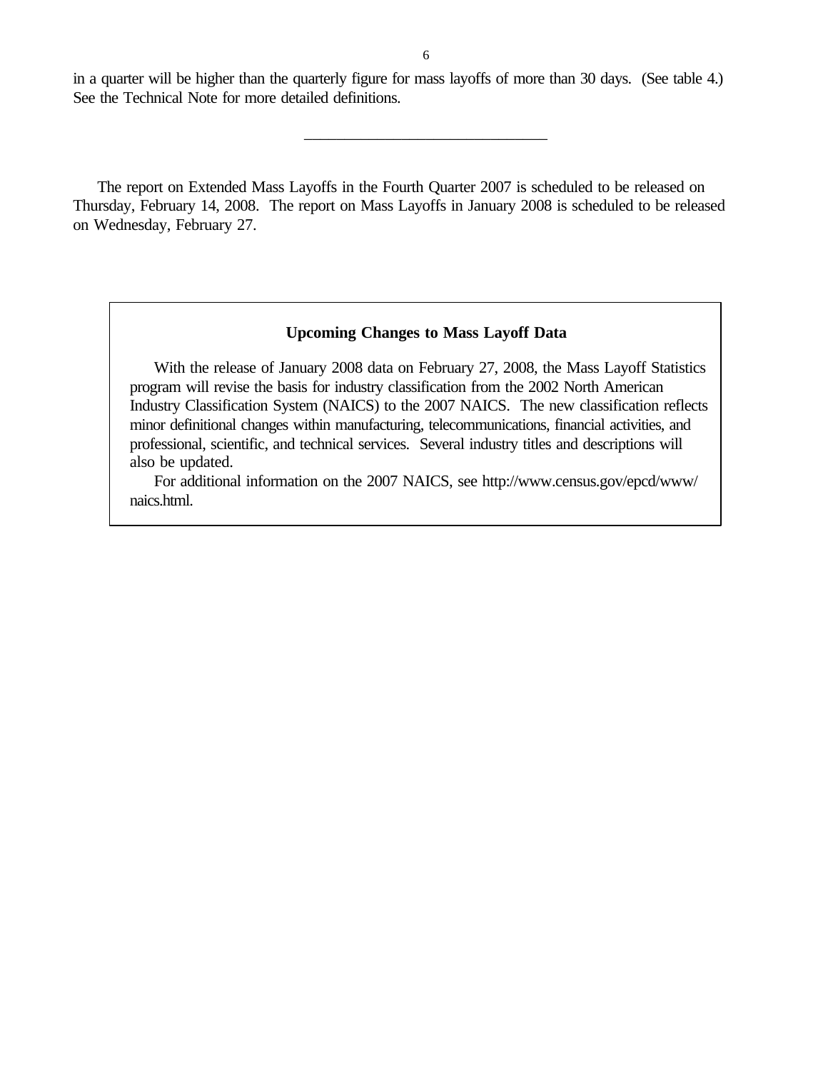in a quarter will be higher than the quarterly figure for mass layoffs of more than 30 days. (See table 4.) See the Technical Note for more detailed definitions.

\_\_\_\_\_\_\_\_\_\_\_\_\_\_\_\_\_\_\_\_\_\_\_\_\_\_\_\_\_\_

The report on Extended Mass Layoffs in the Fourth Quarter 2007 is scheduled to be released on Thursday, February 14, 2008. The report on Mass Layoffs in January 2008 is scheduled to be released on Wednesday, February 27.

# **Upcoming Changes to Mass Layoff Data**

With the release of January 2008 data on February 27, 2008, the Mass Layoff Statistics program will revise the basis for industry classification from the 2002 North American Industry Classification System (NAICS) to the 2007 NAICS. The new classification reflects minor definitional changes within manufacturing, telecommunications, financial activities, and professional, scientific, and technical services. Several industry titles and descriptions will also be updated.

For additional information on the 2007 NAICS, see http://www.census.gov/epcd/www/ naics.html.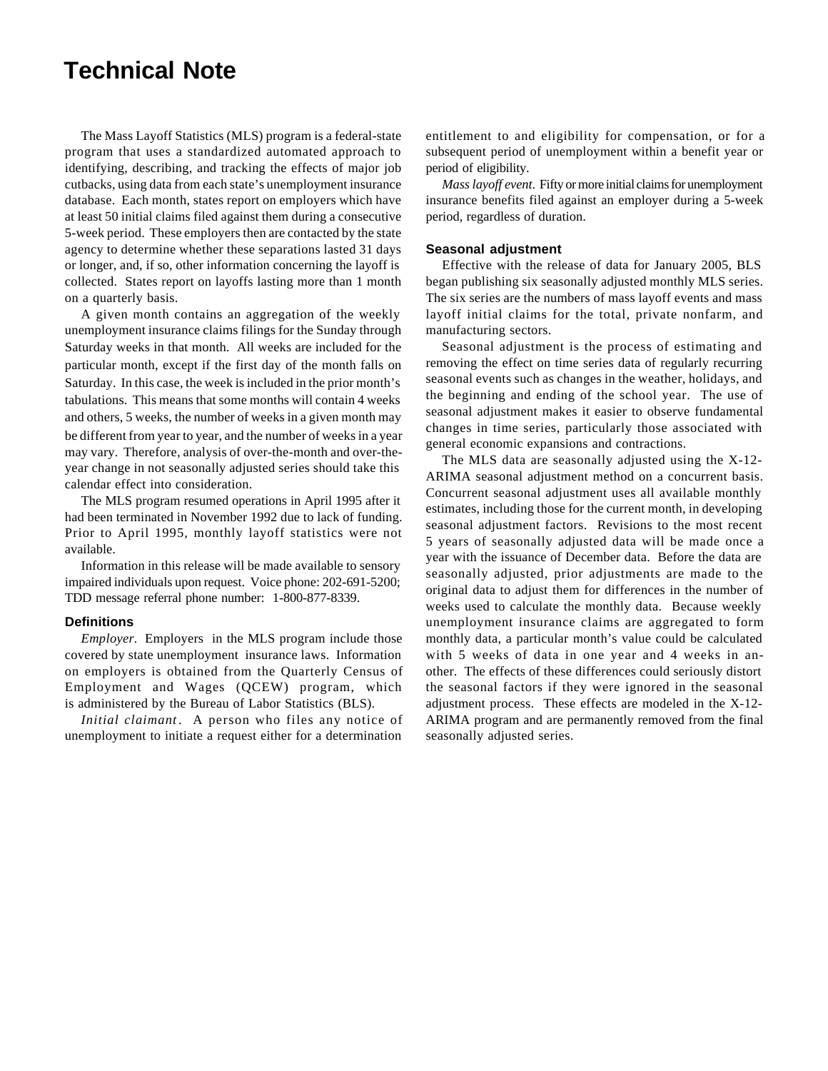# **Technical Note**

The Mass Layoff Statistics (MLS) program is a federal-state program that uses a standardized automated approach to identifying, describing, and tracking the effects of major job cutbacks, using data from each state's unemployment insurance database. Each month, states report on employers which have at least 50 initial claims filed against them during a consecutive 5-week period. These employers then are contacted by the state agency to determine whether these separations lasted 31 days or longer, and, if so, other information concerning the layoff is collected. States report on layoffs lasting more than 1 month on a quarterly basis.

A given month contains an aggregation of the weekly unemployment insurance claims filings for the Sunday through Saturday weeks in that month. All weeks are included for the particular month, except if the first day of the month falls on Saturday. In this case, the week is included in the prior month's tabulations. This means that some months will contain 4 weeks and others, 5 weeks, the number of weeks in a given month may be different from year to year, and the number of weeks in a year may vary. Therefore, analysis of over-the-month and over-theyear change in not seasonally adjusted series should take this calendar effect into consideration.

The MLS program resumed operations in April 1995 after it had been terminated in November 1992 due to lack of funding. Prior to April 1995, monthly layoff statistics were not available.

Information in this release will be made available to sensory impaired individuals upon request. Voice phone: 202-691-5200; TDD message referral phone number: 1-800-877-8339.

#### **Definitions**

*Employer.* Employers in the MLS program include those covered by state unemployment insurance laws. Information on employers is obtained from the Quarterly Census of Employment and Wages (QCEW) program, which is administered by the Bureau of Labor Statistics (BLS).

*Initial claimant* . A person who files any notice of unemployment to initiate a request either for a determination

entitlement to and eligibility for compensation, or for a subsequent period of unemployment within a benefit year or period of eligibility.

*Mass layoff event*. Fifty or more initial claims for unemployment insurance benefits filed against an employer during a 5-week period, regardless of duration.

#### **Seasonal adjustment**

Effective with the release of data for January 2005, BLS began publishing six seasonally adjusted monthly MLS series. The six series are the numbers of mass layoff events and mass layoff initial claims for the total, private nonfarm, and manufacturing sectors.

Seasonal adjustment is the process of estimating and removing the effect on time series data of regularly recurring seasonal events such as changes in the weather, holidays, and the beginning and ending of the school year. The use of seasonal adjustment makes it easier to observe fundamental changes in time series, particularly those associated with general economic expansions and contractions.

The MLS data are seasonally adjusted using the X-12- ARIMA seasonal adjustment method on a concurrent basis. Concurrent seasonal adjustment uses all available monthly estimates, including those for the current month, in developing seasonal adjustment factors. Revisions to the most recent 5 years of seasonally adjusted data will be made once a year with the issuance of December data. Before the data are seasonally adjusted, prior adjustments are made to the original data to adjust them for differences in the number of weeks used to calculate the monthly data. Because weekly unemployment insurance claims are aggregated to form monthly data, a particular month's value could be calculated with 5 weeks of data in one year and 4 weeks in another. The effects of these differences could seriously distort the seasonal factors if they were ignored in the seasonal adjustment process. These effects are modeled in the X-12- ARIMA program and are permanently removed from the final seasonally adjusted series.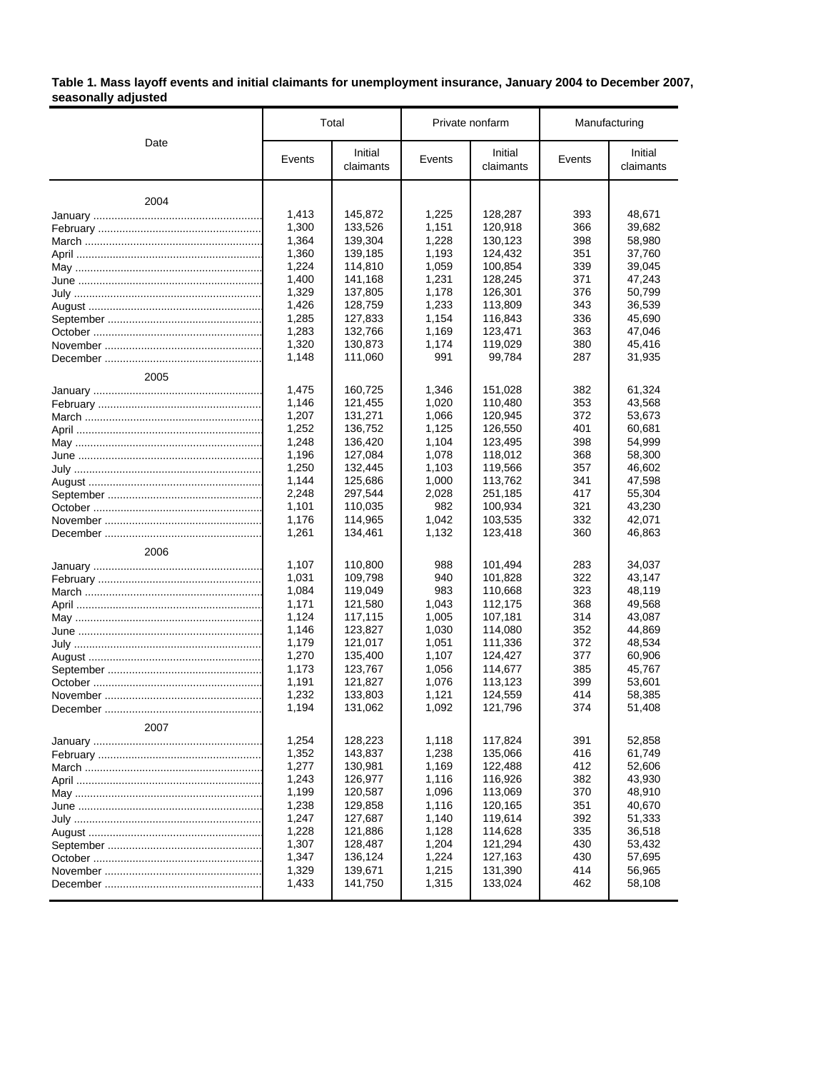#### **Table 1. Mass layoff events and initial claimants for unemployment insurance, January 2004 to December 2007, seasonally adjusted**

|      |                                                                                                                                                                                                                                                                                                                                                                                                                                                                                                                                                                                                                                                                                                                                                                                               |                      |                                                                                                                                                                                                                                                                                                                                                                                                                                                                                                                                                                                                                                                                                                                                                                                                                                                                                                                                                                                                                                                                                                                                         | Initial<br>Events<br>claimants | Manufacturing |                      |
|------|-----------------------------------------------------------------------------------------------------------------------------------------------------------------------------------------------------------------------------------------------------------------------------------------------------------------------------------------------------------------------------------------------------------------------------------------------------------------------------------------------------------------------------------------------------------------------------------------------------------------------------------------------------------------------------------------------------------------------------------------------------------------------------------------------|----------------------|-----------------------------------------------------------------------------------------------------------------------------------------------------------------------------------------------------------------------------------------------------------------------------------------------------------------------------------------------------------------------------------------------------------------------------------------------------------------------------------------------------------------------------------------------------------------------------------------------------------------------------------------------------------------------------------------------------------------------------------------------------------------------------------------------------------------------------------------------------------------------------------------------------------------------------------------------------------------------------------------------------------------------------------------------------------------------------------------------------------------------------------------|--------------------------------|---------------|----------------------|
| Date | Events                                                                                                                                                                                                                                                                                                                                                                                                                                                                                                                                                                                                                                                                                                                                                                                        | Initial<br>claimants | Events                                                                                                                                                                                                                                                                                                                                                                                                                                                                                                                                                                                                                                                                                                                                                                                                                                                                                                                                                                                                                                                                                                                                  |                                |               | Initial<br>claimants |
| 2004 |                                                                                                                                                                                                                                                                                                                                                                                                                                                                                                                                                                                                                                                                                                                                                                                               |                      |                                                                                                                                                                                                                                                                                                                                                                                                                                                                                                                                                                                                                                                                                                                                                                                                                                                                                                                                                                                                                                                                                                                                         |                                |               |                      |
|      |                                                                                                                                                                                                                                                                                                                                                                                                                                                                                                                                                                                                                                                                                                                                                                                               |                      | Private nonfarm<br>1,225<br>128,287<br>393<br>1,151<br>120,918<br>366<br>1,228<br>130,123<br>398<br>351<br>1,193<br>124,432<br>1,059<br>100.854<br>339<br>371<br>1,231<br>128,245<br>1,178<br>126,301<br>376<br>1,233<br>113.809<br>343<br>336<br>1,154<br>116,843<br>1,169<br>123,471<br>363<br>380<br>1,174<br>119,029<br>991<br>99,784<br>287<br>1,346<br>151,028<br>382<br>1,020<br>110,480<br>353<br>1.066<br>120,945<br>372<br>1,125<br>126,550<br>401<br>1,104<br>123,495<br>398<br>1,078<br>118,012<br>368<br>1,103<br>119,566<br>357<br>1.000<br>113,762<br>341<br>2,028<br>251,185<br>417<br>982<br>100,934<br>321<br>1,042<br>103,535<br>332<br>1,132<br>123,418<br>360<br>988<br>101,494<br>283<br>322<br>940<br>101,828<br>983<br>110,668<br>323<br>1,043<br>112,175<br>368<br>1,005<br>107,181<br>314<br>1,030<br>114,080<br>352<br>1,051<br>111,336<br>372<br>1,107<br>124,427<br>377<br>385<br>1,056<br>114,677<br>1,076<br>113,123<br>399<br>1,121<br>124,559<br>414<br>1,092<br>121,796<br>374<br>1,118<br>117,824<br>391<br>1,238<br>135,066<br>416<br>122,488<br>412<br>1,169<br>126,977<br>1,116<br>116,926<br>382 |                                | 48,671        |                      |
|      | Total<br>1,413<br>145,872<br>1,300<br>133,526<br>1,364<br>139,304<br>1,360<br>139,185<br>1,224<br>114,810<br>1,400<br>141,168<br>1,329<br>137,805<br>1,426<br>128,759<br>1,285<br>127,833<br>1,283<br>132,766<br>1,320<br>130,873<br>1,148<br>111,060<br>1.475<br>160,725<br>1,146<br>121,455<br>1,207<br>131,271<br>1,252<br>136,752<br>1,248<br>136,420<br>1,196<br>127,084<br>1,250<br>132,445<br>1,144<br>125,686<br>2,248<br>297,544<br>1,101<br>110,035<br>1,176<br>114,965<br>1,261<br>134,461<br>1,107<br>110,800<br>1,031<br>109,798<br>1,084<br>119,049<br>1,171<br>121,580<br>1,124<br>117,115<br>1,146<br>123,827<br>1,179<br>121,017<br>1.270<br>135.400<br>1,173<br>123,767<br>1,191<br>121,827<br>1,232<br>133,803<br>1,194<br>131,062<br>1,254<br>128,223<br>1,352<br>143,837 |                      |                                                                                                                                                                                                                                                                                                                                                                                                                                                                                                                                                                                                                                                                                                                                                                                                                                                                                                                                                                                                                                                                                                                                         |                                | 39,682        |                      |
|      |                                                                                                                                                                                                                                                                                                                                                                                                                                                                                                                                                                                                                                                                                                                                                                                               |                      |                                                                                                                                                                                                                                                                                                                                                                                                                                                                                                                                                                                                                                                                                                                                                                                                                                                                                                                                                                                                                                                                                                                                         |                                |               | 58,980               |
|      |                                                                                                                                                                                                                                                                                                                                                                                                                                                                                                                                                                                                                                                                                                                                                                                               |                      |                                                                                                                                                                                                                                                                                                                                                                                                                                                                                                                                                                                                                                                                                                                                                                                                                                                                                                                                                                                                                                                                                                                                         |                                |               | 37,760               |
|      |                                                                                                                                                                                                                                                                                                                                                                                                                                                                                                                                                                                                                                                                                                                                                                                               |                      |                                                                                                                                                                                                                                                                                                                                                                                                                                                                                                                                                                                                                                                                                                                                                                                                                                                                                                                                                                                                                                                                                                                                         |                                |               | 39,045               |
|      |                                                                                                                                                                                                                                                                                                                                                                                                                                                                                                                                                                                                                                                                                                                                                                                               |                      |                                                                                                                                                                                                                                                                                                                                                                                                                                                                                                                                                                                                                                                                                                                                                                                                                                                                                                                                                                                                                                                                                                                                         |                                |               | 47,243               |
|      |                                                                                                                                                                                                                                                                                                                                                                                                                                                                                                                                                                                                                                                                                                                                                                                               |                      |                                                                                                                                                                                                                                                                                                                                                                                                                                                                                                                                                                                                                                                                                                                                                                                                                                                                                                                                                                                                                                                                                                                                         |                                |               | 50,799               |
|      |                                                                                                                                                                                                                                                                                                                                                                                                                                                                                                                                                                                                                                                                                                                                                                                               |                      |                                                                                                                                                                                                                                                                                                                                                                                                                                                                                                                                                                                                                                                                                                                                                                                                                                                                                                                                                                                                                                                                                                                                         |                                |               | 36,539               |
|      |                                                                                                                                                                                                                                                                                                                                                                                                                                                                                                                                                                                                                                                                                                                                                                                               |                      |                                                                                                                                                                                                                                                                                                                                                                                                                                                                                                                                                                                                                                                                                                                                                                                                                                                                                                                                                                                                                                                                                                                                         |                                |               | 45,690               |
|      |                                                                                                                                                                                                                                                                                                                                                                                                                                                                                                                                                                                                                                                                                                                                                                                               |                      |                                                                                                                                                                                                                                                                                                                                                                                                                                                                                                                                                                                                                                                                                                                                                                                                                                                                                                                                                                                                                                                                                                                                         |                                |               | 47,046               |
|      |                                                                                                                                                                                                                                                                                                                                                                                                                                                                                                                                                                                                                                                                                                                                                                                               |                      |                                                                                                                                                                                                                                                                                                                                                                                                                                                                                                                                                                                                                                                                                                                                                                                                                                                                                                                                                                                                                                                                                                                                         |                                |               | 45,416               |
|      |                                                                                                                                                                                                                                                                                                                                                                                                                                                                                                                                                                                                                                                                                                                                                                                               |                      |                                                                                                                                                                                                                                                                                                                                                                                                                                                                                                                                                                                                                                                                                                                                                                                                                                                                                                                                                                                                                                                                                                                                         |                                |               | 31,935               |
|      |                                                                                                                                                                                                                                                                                                                                                                                                                                                                                                                                                                                                                                                                                                                                                                                               |                      |                                                                                                                                                                                                                                                                                                                                                                                                                                                                                                                                                                                                                                                                                                                                                                                                                                                                                                                                                                                                                                                                                                                                         |                                |               |                      |
| 2005 |                                                                                                                                                                                                                                                                                                                                                                                                                                                                                                                                                                                                                                                                                                                                                                                               |                      |                                                                                                                                                                                                                                                                                                                                                                                                                                                                                                                                                                                                                                                                                                                                                                                                                                                                                                                                                                                                                                                                                                                                         |                                |               |                      |
|      |                                                                                                                                                                                                                                                                                                                                                                                                                                                                                                                                                                                                                                                                                                                                                                                               |                      |                                                                                                                                                                                                                                                                                                                                                                                                                                                                                                                                                                                                                                                                                                                                                                                                                                                                                                                                                                                                                                                                                                                                         |                                |               | 61,324               |
|      |                                                                                                                                                                                                                                                                                                                                                                                                                                                                                                                                                                                                                                                                                                                                                                                               |                      |                                                                                                                                                                                                                                                                                                                                                                                                                                                                                                                                                                                                                                                                                                                                                                                                                                                                                                                                                                                                                                                                                                                                         |                                |               | 43,568               |
|      |                                                                                                                                                                                                                                                                                                                                                                                                                                                                                                                                                                                                                                                                                                                                                                                               |                      |                                                                                                                                                                                                                                                                                                                                                                                                                                                                                                                                                                                                                                                                                                                                                                                                                                                                                                                                                                                                                                                                                                                                         |                                |               | 53,673               |
|      |                                                                                                                                                                                                                                                                                                                                                                                                                                                                                                                                                                                                                                                                                                                                                                                               |                      |                                                                                                                                                                                                                                                                                                                                                                                                                                                                                                                                                                                                                                                                                                                                                                                                                                                                                                                                                                                                                                                                                                                                         |                                |               | 60,681               |
|      |                                                                                                                                                                                                                                                                                                                                                                                                                                                                                                                                                                                                                                                                                                                                                                                               |                      |                                                                                                                                                                                                                                                                                                                                                                                                                                                                                                                                                                                                                                                                                                                                                                                                                                                                                                                                                                                                                                                                                                                                         |                                |               | 54,999<br>58,300     |
|      |                                                                                                                                                                                                                                                                                                                                                                                                                                                                                                                                                                                                                                                                                                                                                                                               |                      |                                                                                                                                                                                                                                                                                                                                                                                                                                                                                                                                                                                                                                                                                                                                                                                                                                                                                                                                                                                                                                                                                                                                         |                                |               | 46,602               |
|      |                                                                                                                                                                                                                                                                                                                                                                                                                                                                                                                                                                                                                                                                                                                                                                                               |                      |                                                                                                                                                                                                                                                                                                                                                                                                                                                                                                                                                                                                                                                                                                                                                                                                                                                                                                                                                                                                                                                                                                                                         |                                |               |                      |
|      |                                                                                                                                                                                                                                                                                                                                                                                                                                                                                                                                                                                                                                                                                                                                                                                               |                      |                                                                                                                                                                                                                                                                                                                                                                                                                                                                                                                                                                                                                                                                                                                                                                                                                                                                                                                                                                                                                                                                                                                                         |                                |               | 47,598<br>55,304     |
|      |                                                                                                                                                                                                                                                                                                                                                                                                                                                                                                                                                                                                                                                                                                                                                                                               |                      |                                                                                                                                                                                                                                                                                                                                                                                                                                                                                                                                                                                                                                                                                                                                                                                                                                                                                                                                                                                                                                                                                                                                         |                                |               | 43,230               |
|      |                                                                                                                                                                                                                                                                                                                                                                                                                                                                                                                                                                                                                                                                                                                                                                                               |                      |                                                                                                                                                                                                                                                                                                                                                                                                                                                                                                                                                                                                                                                                                                                                                                                                                                                                                                                                                                                                                                                                                                                                         |                                |               | 42,071               |
|      |                                                                                                                                                                                                                                                                                                                                                                                                                                                                                                                                                                                                                                                                                                                                                                                               |                      |                                                                                                                                                                                                                                                                                                                                                                                                                                                                                                                                                                                                                                                                                                                                                                                                                                                                                                                                                                                                                                                                                                                                         |                                |               | 46,863               |
|      |                                                                                                                                                                                                                                                                                                                                                                                                                                                                                                                                                                                                                                                                                                                                                                                               |                      |                                                                                                                                                                                                                                                                                                                                                                                                                                                                                                                                                                                                                                                                                                                                                                                                                                                                                                                                                                                                                                                                                                                                         |                                |               |                      |
| 2006 |                                                                                                                                                                                                                                                                                                                                                                                                                                                                                                                                                                                                                                                                                                                                                                                               |                      |                                                                                                                                                                                                                                                                                                                                                                                                                                                                                                                                                                                                                                                                                                                                                                                                                                                                                                                                                                                                                                                                                                                                         |                                |               |                      |
|      |                                                                                                                                                                                                                                                                                                                                                                                                                                                                                                                                                                                                                                                                                                                                                                                               |                      |                                                                                                                                                                                                                                                                                                                                                                                                                                                                                                                                                                                                                                                                                                                                                                                                                                                                                                                                                                                                                                                                                                                                         |                                |               | 34,037               |
|      |                                                                                                                                                                                                                                                                                                                                                                                                                                                                                                                                                                                                                                                                                                                                                                                               |                      |                                                                                                                                                                                                                                                                                                                                                                                                                                                                                                                                                                                                                                                                                                                                                                                                                                                                                                                                                                                                                                                                                                                                         |                                |               | 43,147               |
|      |                                                                                                                                                                                                                                                                                                                                                                                                                                                                                                                                                                                                                                                                                                                                                                                               |                      |                                                                                                                                                                                                                                                                                                                                                                                                                                                                                                                                                                                                                                                                                                                                                                                                                                                                                                                                                                                                                                                                                                                                         |                                |               | 48,119               |
|      |                                                                                                                                                                                                                                                                                                                                                                                                                                                                                                                                                                                                                                                                                                                                                                                               |                      |                                                                                                                                                                                                                                                                                                                                                                                                                                                                                                                                                                                                                                                                                                                                                                                                                                                                                                                                                                                                                                                                                                                                         |                                |               | 49,568               |
|      |                                                                                                                                                                                                                                                                                                                                                                                                                                                                                                                                                                                                                                                                                                                                                                                               |                      |                                                                                                                                                                                                                                                                                                                                                                                                                                                                                                                                                                                                                                                                                                                                                                                                                                                                                                                                                                                                                                                                                                                                         |                                |               | 43,087<br>44,869     |
|      |                                                                                                                                                                                                                                                                                                                                                                                                                                                                                                                                                                                                                                                                                                                                                                                               |                      |                                                                                                                                                                                                                                                                                                                                                                                                                                                                                                                                                                                                                                                                                                                                                                                                                                                                                                                                                                                                                                                                                                                                         |                                |               |                      |
|      |                                                                                                                                                                                                                                                                                                                                                                                                                                                                                                                                                                                                                                                                                                                                                                                               |                      |                                                                                                                                                                                                                                                                                                                                                                                                                                                                                                                                                                                                                                                                                                                                                                                                                                                                                                                                                                                                                                                                                                                                         |                                |               | 48,534<br>60,906     |
|      |                                                                                                                                                                                                                                                                                                                                                                                                                                                                                                                                                                                                                                                                                                                                                                                               |                      |                                                                                                                                                                                                                                                                                                                                                                                                                                                                                                                                                                                                                                                                                                                                                                                                                                                                                                                                                                                                                                                                                                                                         |                                |               | 45,767               |
|      |                                                                                                                                                                                                                                                                                                                                                                                                                                                                                                                                                                                                                                                                                                                                                                                               |                      |                                                                                                                                                                                                                                                                                                                                                                                                                                                                                                                                                                                                                                                                                                                                                                                                                                                                                                                                                                                                                                                                                                                                         |                                |               | 53,601               |
|      |                                                                                                                                                                                                                                                                                                                                                                                                                                                                                                                                                                                                                                                                                                                                                                                               |                      |                                                                                                                                                                                                                                                                                                                                                                                                                                                                                                                                                                                                                                                                                                                                                                                                                                                                                                                                                                                                                                                                                                                                         |                                |               | 58,385               |
|      |                                                                                                                                                                                                                                                                                                                                                                                                                                                                                                                                                                                                                                                                                                                                                                                               |                      |                                                                                                                                                                                                                                                                                                                                                                                                                                                                                                                                                                                                                                                                                                                                                                                                                                                                                                                                                                                                                                                                                                                                         |                                |               | 51,408               |
|      |                                                                                                                                                                                                                                                                                                                                                                                                                                                                                                                                                                                                                                                                                                                                                                                               |                      |                                                                                                                                                                                                                                                                                                                                                                                                                                                                                                                                                                                                                                                                                                                                                                                                                                                                                                                                                                                                                                                                                                                                         |                                |               |                      |
| 2007 |                                                                                                                                                                                                                                                                                                                                                                                                                                                                                                                                                                                                                                                                                                                                                                                               |                      |                                                                                                                                                                                                                                                                                                                                                                                                                                                                                                                                                                                                                                                                                                                                                                                                                                                                                                                                                                                                                                                                                                                                         |                                |               |                      |
|      |                                                                                                                                                                                                                                                                                                                                                                                                                                                                                                                                                                                                                                                                                                                                                                                               |                      |                                                                                                                                                                                                                                                                                                                                                                                                                                                                                                                                                                                                                                                                                                                                                                                                                                                                                                                                                                                                                                                                                                                                         |                                |               | 52,858               |
|      |                                                                                                                                                                                                                                                                                                                                                                                                                                                                                                                                                                                                                                                                                                                                                                                               |                      |                                                                                                                                                                                                                                                                                                                                                                                                                                                                                                                                                                                                                                                                                                                                                                                                                                                                                                                                                                                                                                                                                                                                         |                                |               | 61,749               |
|      | 1,277                                                                                                                                                                                                                                                                                                                                                                                                                                                                                                                                                                                                                                                                                                                                                                                         | 130,981              |                                                                                                                                                                                                                                                                                                                                                                                                                                                                                                                                                                                                                                                                                                                                                                                                                                                                                                                                                                                                                                                                                                                                         |                                |               | 52,606               |
|      | 1,243                                                                                                                                                                                                                                                                                                                                                                                                                                                                                                                                                                                                                                                                                                                                                                                         |                      |                                                                                                                                                                                                                                                                                                                                                                                                                                                                                                                                                                                                                                                                                                                                                                                                                                                                                                                                                                                                                                                                                                                                         |                                |               | 43,930               |
|      | 1,199                                                                                                                                                                                                                                                                                                                                                                                                                                                                                                                                                                                                                                                                                                                                                                                         | 120,587              | 1,096                                                                                                                                                                                                                                                                                                                                                                                                                                                                                                                                                                                                                                                                                                                                                                                                                                                                                                                                                                                                                                                                                                                                   | 113,069                        | 370           | 48,910               |
|      | 1,238                                                                                                                                                                                                                                                                                                                                                                                                                                                                                                                                                                                                                                                                                                                                                                                         | 129,858              | 1,116                                                                                                                                                                                                                                                                                                                                                                                                                                                                                                                                                                                                                                                                                                                                                                                                                                                                                                                                                                                                                                                                                                                                   | 120,165                        | 351           | 40,670               |
|      | 1,247                                                                                                                                                                                                                                                                                                                                                                                                                                                                                                                                                                                                                                                                                                                                                                                         | 127,687              | 1,140                                                                                                                                                                                                                                                                                                                                                                                                                                                                                                                                                                                                                                                                                                                                                                                                                                                                                                                                                                                                                                                                                                                                   | 119,614                        | 392           | 51,333               |
|      | 1,228                                                                                                                                                                                                                                                                                                                                                                                                                                                                                                                                                                                                                                                                                                                                                                                         | 121,886              | 1,128                                                                                                                                                                                                                                                                                                                                                                                                                                                                                                                                                                                                                                                                                                                                                                                                                                                                                                                                                                                                                                                                                                                                   | 114,628                        | 335           | 36,518               |
|      | 1,307                                                                                                                                                                                                                                                                                                                                                                                                                                                                                                                                                                                                                                                                                                                                                                                         | 128,487              | 1,204                                                                                                                                                                                                                                                                                                                                                                                                                                                                                                                                                                                                                                                                                                                                                                                                                                                                                                                                                                                                                                                                                                                                   | 121,294                        | 430           | 53,432               |
|      | 1,347                                                                                                                                                                                                                                                                                                                                                                                                                                                                                                                                                                                                                                                                                                                                                                                         | 136,124              | 1,224                                                                                                                                                                                                                                                                                                                                                                                                                                                                                                                                                                                                                                                                                                                                                                                                                                                                                                                                                                                                                                                                                                                                   | 127,163                        | 430           | 57,695               |
|      | 1,329                                                                                                                                                                                                                                                                                                                                                                                                                                                                                                                                                                                                                                                                                                                                                                                         | 139,671              | 1,215                                                                                                                                                                                                                                                                                                                                                                                                                                                                                                                                                                                                                                                                                                                                                                                                                                                                                                                                                                                                                                                                                                                                   | 131,390                        | 414           | 56,965               |
|      | 1,433                                                                                                                                                                                                                                                                                                                                                                                                                                                                                                                                                                                                                                                                                                                                                                                         | 141,750              | 1,315                                                                                                                                                                                                                                                                                                                                                                                                                                                                                                                                                                                                                                                                                                                                                                                                                                                                                                                                                                                                                                                                                                                                   | 133,024                        | 462           | 58,108               |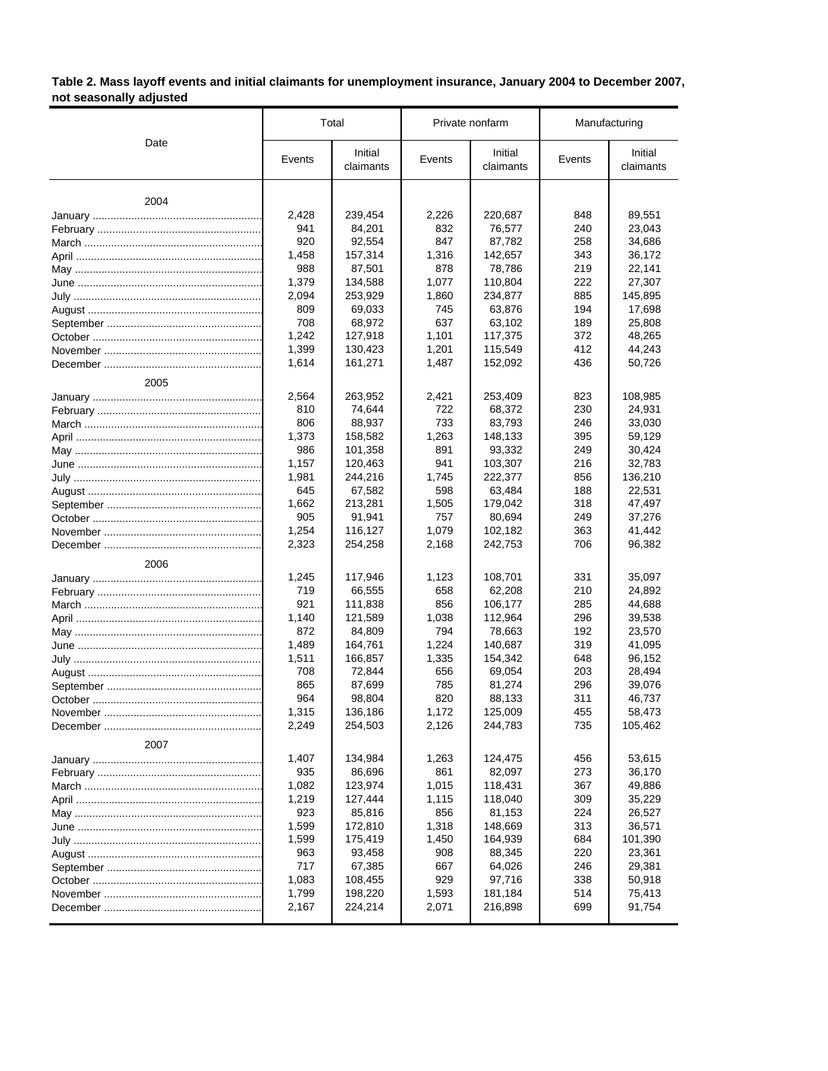# **Table 2. Mass layoff events and initial claimants for unemployment insurance, January 2004 to December 2007, not seasonally adjusted**

|          |        | Total                |              | Private nonfarm      | Manufacturing |                      |
|----------|--------|----------------------|--------------|----------------------|---------------|----------------------|
| Date     | Events | Initial<br>claimants | Events       | Initial<br>claimants | Events        | Initial<br>claimants |
| 2004     |        |                      |              |                      |               |                      |
|          | 2,428  |                      |              |                      | 848           |                      |
|          | 941    | 239,454<br>84,201    | 2,226<br>832 | 220,687<br>76,577    | 240           | 89,551<br>23,043     |
|          | 920    | 92,554               | 847          | 87,782               | 258           | 34,686               |
|          | 1,458  | 157,314              | 1,316        | 142,657              | 343           | 36,172               |
|          | 988    | 87,501               | 878          | 78,786               | 219           | 22,141               |
|          | 1,379  | 134,588              | 1,077        | 110,804              | 222           | 27,307               |
|          | 2,094  | 253,929              | 1,860        | 234,877              | 885           | 145,895              |
|          | 809    | 69,033               | 745          | 63,876               | 194           | 17,698               |
|          | 708    | 68,972               | 637          | 63,102               | 189           | 25,808               |
|          | 1,242  | 127,918              | 1,101        | 117,375              | 372           | 48,265               |
|          | 1,399  | 130,423              | 1,201        | 115,549              | 412           | 44,243               |
|          | 1,614  | 161,271              | 1,487        | 152,092              | 436           | 50,726               |
| 2005     |        |                      |              |                      |               |                      |
|          | 2,564  | 263,952              | 2,421        | 253,409              | 823           | 108,985              |
|          | 810    | 74,644               | 722          | 68,372               | 230           | 24,931               |
|          | 806    | 88,937               | 733          | 83,793               | 246           | 33,030               |
|          | 1,373  | 158,582              | 1,263        | 148,133              | 395           | 59,129               |
|          | 986    | 101,358              | 891          | 93,332               | 249           | 30,424               |
|          | 1,157  | 120,463              | 941          | 103,307              | 216           | 32,783               |
|          | 1,981  | 244,216              | 1,745        | 222,377              | 856           | 136,210              |
|          | 645    | 67,582               | 598          | 63,484               | 188           | 22,531               |
|          | 1,662  | 213,281              | 1,505        | 179,042              | 318           | 47,497               |
|          | 905    | 91,941               | 757          | 80,694               | 249           | 37,276               |
|          | 1,254  | 116,127              | 1,079        | 102,182              | 363           | 41,442               |
|          | 2,323  | 254,258              | 2,168        | 242,753              | 706           | 96,382               |
| 2006     |        |                      |              |                      |               |                      |
|          | 1,245  | 117,946              | 1,123        | 108,701              | 331           | 35,097               |
|          | 719    | 66,555               | 658          | 62,208               | 210           | 24,892               |
|          | 921    | 111,838              | 856          | 106,177              | 285           | 44,688               |
|          | 1,140  | 121,589              | 1,038        | 112,964              | 296           | 39,538               |
|          | 872    | 84,809               | 794          | 78,663               | 192           | 23,570               |
|          | 1,489  | 164,761              | 1,224        | 140,687              | 319           | 41,095               |
|          | 1,511  | 166,857              | 1,335        | 154,342              | 648           | 96,152               |
|          | 708    | 72,844               | 656          | 69,054               | 203           | 28,494               |
|          | 865    | 87,699               | 785          | 81,274               | 296           | 39,076               |
|          | 964    | 98,804               | 820          | 88,133               | 311           | 46,737               |
| November | 1,315  | 136,186              | 1,172        | 125,009              | 455           | 58,473               |
|          | 2,249  | 254,503              | 2,126        | 244,783              | 735           | 105,462              |
| 2007     |        |                      |              |                      |               |                      |
|          | 1,407  | 134,984              | 1,263        | 124,475              | 456           | 53,615               |
|          | 935    | 86,696               | 861          | 82,097               | 273           | 36,170               |
|          | 1,082  | 123,974              | 1,015        | 118,431              | 367           | 49,886               |
|          | 1,219  | 127,444              | 1,115        | 118,040              | 309           | 35,229               |
|          | 923    | 85,816               | 856          | 81,153               | 224           | 26,527               |
|          | 1,599  | 172,810              | 1,318        | 148,669              | 313           | 36,571               |
|          | 1,599  | 175,419              | 1,450        | 164,939              | 684           | 101,390              |
|          | 963    | 93,458               | 908          | 88,345               | 220           | 23,361               |
|          | 717    | 67,385               | 667          | 64,026               | 246           | 29,381               |
|          | 1,083  | 108,455              | 929          | 97,716               | 338           | 50,918               |
|          | 1,799  | 198,220              | 1,593        | 181,184              | 514           | 75,413               |
|          | 2,167  | 224,214              | 2,071        | 216,898              | 699           | 91,754               |
|          |        |                      |              |                      |               |                      |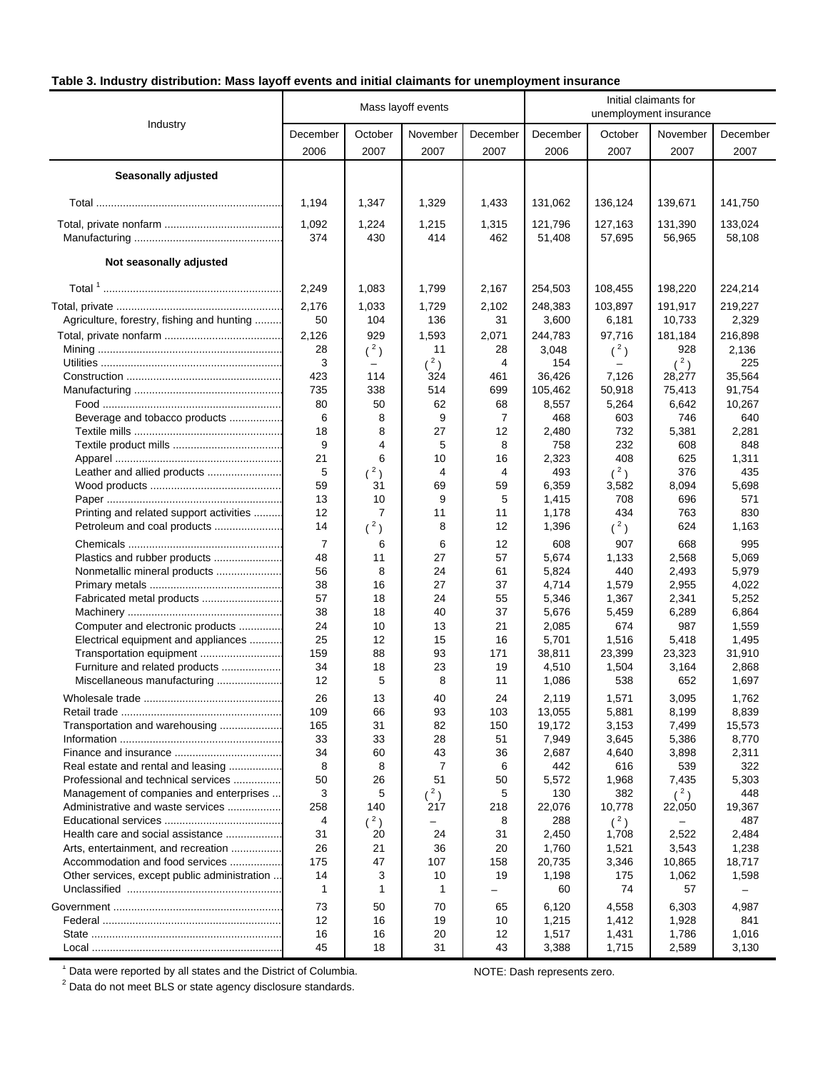# **Table 3. Industry distribution: Mass layoff events and initial claimants for unemployment insurance**

|                                                                           |                |                | Mass layoff events |           | Initial claimants for<br>unemployment insurance |                 |                 |                  |
|---------------------------------------------------------------------------|----------------|----------------|--------------------|-----------|-------------------------------------------------|-----------------|-----------------|------------------|
| Industry                                                                  | December       | October        | November           | December  | December                                        | October         | November        | December         |
|                                                                           | 2006           | 2007           | 2007               | 2007      | 2006                                            | 2007            | 2007            | 2007             |
|                                                                           |                |                |                    |           |                                                 |                 |                 |                  |
| <b>Seasonally adjusted</b>                                                |                |                |                    |           |                                                 |                 |                 |                  |
|                                                                           | 1,194          | 1,347          | 1,329              | 1,433     | 131,062                                         | 136,124         | 139,671         | 141,750          |
|                                                                           | 1,092          | 1,224          | 1,215              | 1,315     | 121,796                                         | 127,163         | 131,390         | 133,024          |
|                                                                           | 374            | 430            | 414                | 462       | 51,408                                          | 57,695          | 56,965          | 58,108           |
| Not seasonally adjusted                                                   |                |                |                    |           |                                                 |                 |                 |                  |
|                                                                           | 2,249          | 1,083          | 1,799              | 2,167     | 254,503                                         | 108,455         | 198,220         | 224,214          |
|                                                                           | 2,176          | 1,033          | 1,729              | 2,102     | 248,383                                         | 103,897         | 191,917         | 219,227          |
| Agriculture, forestry, fishing and hunting                                | 50             | 104            | 136                | 31        | 3,600                                           | 6,181           | 10,733          | 2,329            |
|                                                                           | 2,126          | 929            | 1,593              | 2,071     | 244,783                                         | 97,716          | 181,184         | 216,898          |
|                                                                           | 28             | $(^2)$         | 11                 | 28        | 3,048                                           | $(^2)$          | 928             | 2,136            |
|                                                                           | 3              |                | $(^2)$             | 4         | 154                                             |                 | $(^2)$          | 225              |
|                                                                           | 423            | 114            | 324                | 461       | 36,426<br>105,462                               | 7,126           | 28,277          | 35,564           |
|                                                                           | 735<br>80      | 338<br>50      | 514<br>62          | 699<br>68 | 8,557                                           | 50,918<br>5,264 | 75,413<br>6,642 | 91,754<br>10,267 |
| Beverage and tobacco products                                             | 6              | 8              | 9                  | 7         | 468                                             | 603             | 746             | 640              |
|                                                                           | 18             | 8              | 27                 | 12        | 2,480                                           | 732             | 5,381           | 2,281            |
|                                                                           | 9              | 4              | 5                  | 8         | 758                                             | 232             | 608             | 848              |
|                                                                           | 21             | 6              | 10                 | 16        | 2,323                                           | 408             | 625             | 1,311            |
| Leather and allied products                                               | 5              | (2)            | 4                  | 4         | 493                                             | $(^2)$          | 376             | 435              |
|                                                                           | 59             | 31             | 69                 | 59        | 6,359                                           | 3,582           | 8,094           | 5,698            |
|                                                                           | 13             | 10             | 9                  | 5         | 1,415                                           | 708             | 696             | 571              |
| Printing and related support activities                                   | 12             | $\overline{7}$ | 11                 | 11        | 1,178                                           | 434             | 763             | 830              |
| Petroleum and coal products                                               | 14             | $(^2)$         | 8                  | 12        | 1,396                                           | $(^2)$          | 624             | 1,163            |
|                                                                           | $\overline{7}$ | 6              | 6                  | 12        | 608                                             | 907             | 668             | 995              |
| Plastics and rubber products                                              | 48             | 11             | 27                 | 57        | 5,674                                           | 1,133           | 2,568           | 5,069            |
| Nonmetallic mineral products                                              | 56<br>38       | 8<br>16        | 24<br>27           | 61<br>37  | 5,824<br>4,714                                  | 440<br>1,579    | 2,493<br>2,955  | 5,979<br>4,022   |
| Fabricated metal products                                                 | 57             | 18             | 24                 | 55        | 5,346                                           | 1,367           | 2,341           | 5,252            |
|                                                                           | 38             | 18             | 40                 | 37        | 5,676                                           | 5,459           | 6,289           | 6,864            |
| Computer and electronic products                                          | 24             | 10             | 13                 | 21        | 2,085                                           | 674             | 987             | 1,559            |
| Electrical equipment and appliances                                       | 25             | 12             | 15                 | 16        | 5,701                                           | 1,516           | 5,418           | 1,495            |
| Transportation equipment                                                  | 159            | 88             | 93                 | 171       | 38,811                                          | 23,399          | 23,323          | 31,910           |
| Furniture and related products                                            | 34             | 18             | 23                 | 19        | 4,510                                           | 1,504           | 3,164           | 2,868            |
| Miscellaneous manufacturing                                               | 12             | 5              | 8                  | 11        | 1,086                                           | 538             | 652             | 1,697            |
|                                                                           | 26             | 13             | 40                 | 24        | 2,119                                           | 1,571           | 3,095           | 1,762            |
|                                                                           | 109            | 66             | 93                 | 103       | 13,055                                          | 5,881           | 8,199           | 8,839            |
| Transportation and warehousing                                            | 165            | 31             | 82                 | 150       | 19,172                                          | 3,153           | 7,499           | 15,573           |
|                                                                           | 33             | 33             | 28                 | 51        | 7,949                                           | 3,645           | 5,386           | 8,770            |
|                                                                           | 34<br>8        | 60<br>8        | 43<br>7            | 36<br>6   | 2,687<br>442                                    | 4,640<br>616    | 3,898           | 2,311<br>322     |
| Real estate and rental and leasing<br>Professional and technical services | 50             | 26             | 51                 | 50        | 5,572                                           | 1,968           | 539<br>7,435    | 5,303            |
| Management of companies and enterprises                                   | 3              | 5              | $(^2)$             | 5         | 130                                             | 382             | $(^2)$          | 448              |
| Administrative and waste services                                         | 258            | 140            | 217                | 218       | 22,076                                          | 10,778          | 22,050          | 19,367           |
|                                                                           | 4              | $(^2)$         | -                  | 8         | 288                                             | $(^2)$          |                 | 487              |
| Health care and social assistance                                         | 31             | 20             | 24                 | 31        | 2,450                                           | 1,708           | 2,522           | 2,484            |
| Arts, entertainment, and recreation                                       | 26             | 21             | 36                 | 20        | 1,760                                           | 1,521           | 3,543           | 1,238            |
| Accommodation and food services                                           | 175            | 47             | 107                | 158       | 20,735                                          | 3,346           | 10,865          | 18,717           |
| Other services, except public administration                              | 14<br>1        | 3<br>1         | 10<br>1            | 19        | 1,198<br>60                                     | 175<br>74       | 1,062<br>57     | 1,598            |
|                                                                           | 73             | 50             | 70                 | 65        | 6,120                                           | 4,558           | 6,303           | 4,987            |
|                                                                           | 12             | 16             | 19                 | 10        | 1,215                                           | 1,412           | 1,928           | 841              |
|                                                                           | 16             | 16             | 20                 | 12        | 1,517                                           | 1,431           | 1,786           | 1,016            |
|                                                                           | 45             | 18             | 31                 | 43        | 3,388                                           | 1,715           | 2,589           | 3,130            |

 $^1$  Data were reported by all states and the District of Columbia.  $\,$  NOTE: Dash represents zero.  $^2$  Data do not meet BLS or state agency disclosure standards.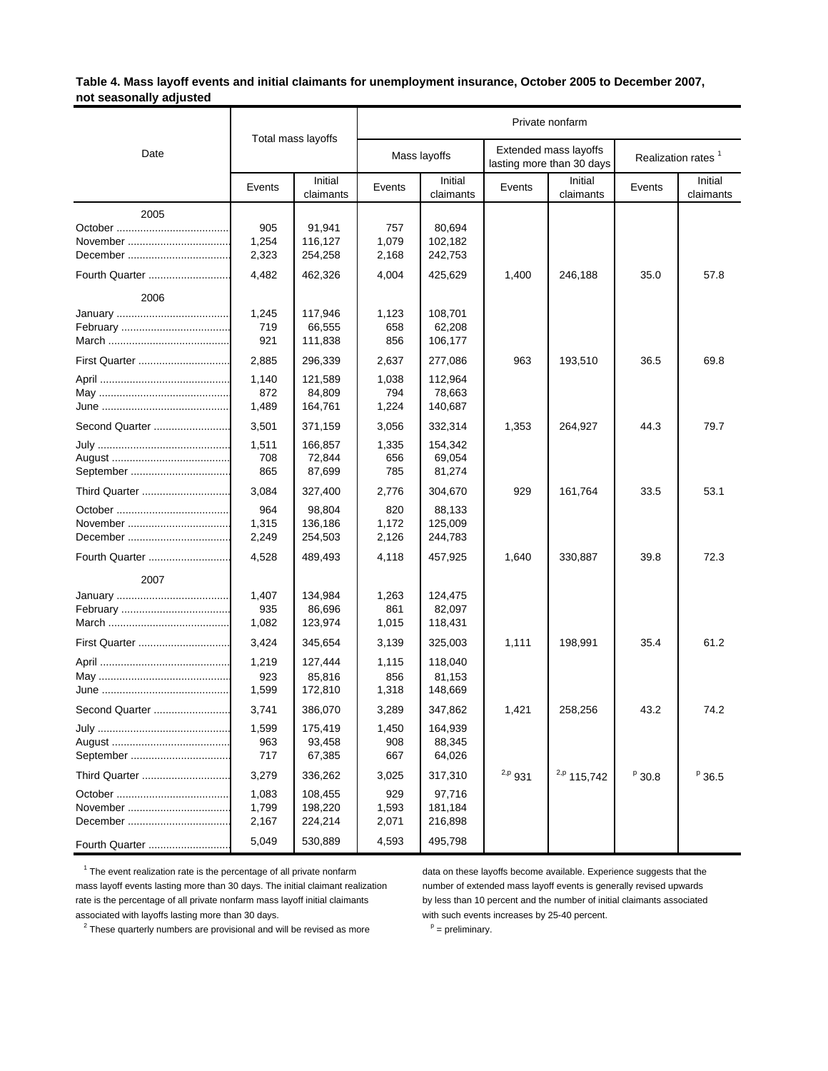### **Table 4. Mass layoff events and initial claimants for unemployment insurance, October 2005 to December 2007, not seasonally adjusted**

|                  |                         |                               | Private nonfarm       |                              |             |                                                    |        |                                |  |
|------------------|-------------------------|-------------------------------|-----------------------|------------------------------|-------------|----------------------------------------------------|--------|--------------------------------|--|
| Date             |                         | Total mass layoffs            |                       | Mass layoffs                 |             | Extended mass layoffs<br>lasting more than 30 days |        | Realization rates <sup>1</sup> |  |
|                  | Events                  | Initial<br>claimants          | Events                | Initial<br>claimants         | Events      | Initial<br>claimants                               | Events | Initial<br>claimants           |  |
| 2005<br>December | 905<br>1,254<br>2,323   | 91,941<br>116,127<br>254,258  | 757<br>1,079<br>2,168 | 80,694<br>102,182<br>242,753 |             |                                                    |        |                                |  |
|                  | 4,482                   | 462,326                       | 4,004                 | 425,629                      | 1,400       | 246,188                                            | 35.0   | 57.8                           |  |
| 2006             |                         |                               |                       |                              |             |                                                    |        |                                |  |
|                  | 1,245<br>719<br>921     | 117,946<br>66,555<br>111,838  | 1,123<br>658<br>856   | 108,701<br>62,208<br>106,177 |             |                                                    |        |                                |  |
|                  | 2,885                   | 296,339                       | 2,637                 | 277,086                      | 963         | 193,510                                            | 36.5   | 69.8                           |  |
|                  | 1,140<br>872<br>1,489   | 121,589<br>84,809<br>164,761  | 1,038<br>794<br>1,224 | 112,964<br>78,663<br>140,687 |             |                                                    |        |                                |  |
| Second Quarter   | 3,501                   | 371,159                       | 3,056                 | 332,314                      | 1,353       | 264,927                                            | 44.3   | 79.7                           |  |
|                  | 1,511<br>708<br>865     | 166,857<br>72,844<br>87,699   | 1,335<br>656<br>785   | 154,342<br>69,054<br>81,274  |             |                                                    |        |                                |  |
| Third Quarter    | 3,084                   | 327,400                       | 2,776                 | 304,670                      | 929         | 161,764                                            | 33.5   | 53.1                           |  |
|                  | 964<br>1,315<br>2,249   | 98,804<br>136,186<br>254,503  | 820<br>1,172<br>2,126 | 88,133<br>125,009<br>244,783 |             |                                                    |        |                                |  |
|                  | 4,528                   | 489,493                       | 4,118                 | 457,925                      | 1,640       | 330,887                                            | 39.8   | 72.3                           |  |
| 2007             | 1,407<br>935<br>1,082   | 134,984<br>86,696<br>123,974  | 1,263<br>861<br>1,015 | 124,475<br>82,097<br>118,431 |             |                                                    |        |                                |  |
| First Quarter    | 3,424                   | 345,654                       | 3,139                 | 325,003                      | 1,111       | 198,991                                            | 35.4   | 61.2                           |  |
|                  | 1,219<br>923<br>1,599   | 127,444<br>85,816<br>172,810  | 1,115<br>856<br>1,318 | 118,040<br>81,153<br>148,669 |             |                                                    |        |                                |  |
| Second Quarter   | 3,741                   | 386,070                       | 3,289                 | 347,862                      | 1,421       | 258,256                                            | 43.2   | 74.2                           |  |
|                  | 1,599<br>963<br>717     | 175,419<br>93,458<br>67,385   | 1,450<br>908<br>667   | 164,939<br>88,345<br>64,026  |             |                                                    |        |                                |  |
| Third Quarter    | 3,279                   | 336,262                       | 3,025                 | 317,310                      | $^{2,p}931$ | $^{2,p}$ 115,742                                   | P 30.8 | $P$ 36.5                       |  |
|                  | 1,083<br>1,799<br>2,167 | 108,455<br>198,220<br>224,214 | 929<br>1,593<br>2,071 | 97,716<br>181,184<br>216,898 |             |                                                    |        |                                |  |
| Fourth Quarter   | 5,049                   | 530,889                       | 4,593                 | 495,798                      |             |                                                    |        |                                |  |

<sup>1</sup> The event realization rate is the percentage of all private nonfarm data on these layoffs become available. Experience suggests that the mass layoff events lasting more than 30 days. The initial claimant realization number of extended mass layoff events is generally revised upwards rate is the percentage of all private nonfarm mass layoff initial claimants by less than 10 percent and the number of initial claimants associated associated with layoffs lasting more than 30 days. with such events increases by 25-40 percent.

<sup>2</sup> These quarterly numbers are provisional and will be revised as more  $P =$  preliminary.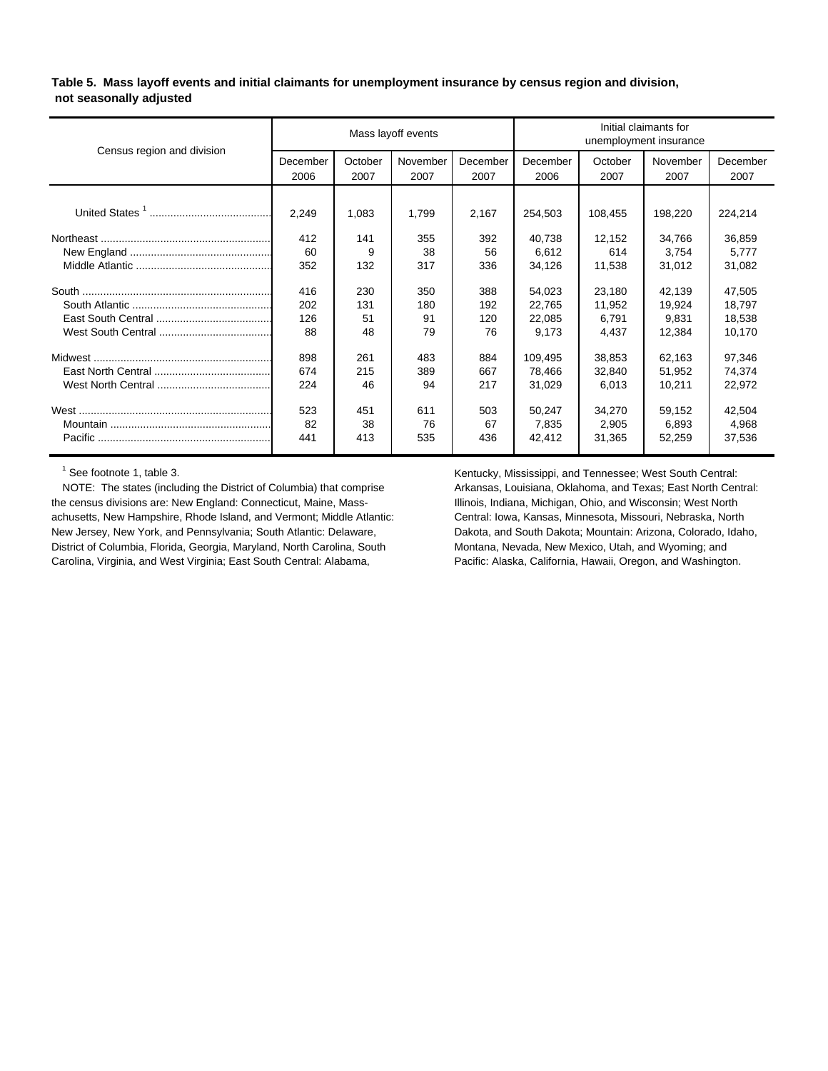**Table 5. Mass layoff events and initial claimants for unemployment insurance by census region and division, not seasonally adjusted**

| Census region and division | Mass layoff events |                 |                  |                  | Initial claimants for<br>unemployment insurance |                 |                  |                  |
|----------------------------|--------------------|-----------------|------------------|------------------|-------------------------------------------------|-----------------|------------------|------------------|
|                            | December<br>2006   | October<br>2007 | November<br>2007 | December<br>2007 | December<br>2006                                | October<br>2007 | November<br>2007 | December<br>2007 |
|                            |                    |                 |                  |                  |                                                 |                 |                  |                  |
|                            | 2,249              | 1,083           | 1,799            | 2,167            | 254,503                                         | 108,455         | 198,220          | 224,214          |
|                            | 412                | 141             | 355              | 392              | 40,738                                          | 12,152          | 34,766           | 36,859           |
|                            | 60                 | 9               | 38               | 56               | 6,612                                           | 614             | 3,754            | 5,777            |
|                            | 352                | 132             | 317              | 336              | 34,126                                          | 11,538          | 31,012           | 31,082           |
|                            | 416                | 230             | 350              | 388              | 54,023                                          | 23,180          | 42,139           | 47,505           |
|                            | 202                | 131             | 180              | 192              | 22,765                                          | 11,952          | 19,924           | 18,797           |
|                            | 126                | 51              | 91               | 120              | 22.085                                          | 6,791           | 9,831            | 18,538           |
|                            | 88                 | 48              | 79               | 76               | 9,173                                           | 4,437           | 12,384           | 10,170           |
|                            | 898                | 261             | 483              | 884              | 109,495                                         | 38.853          | 62.163           | 97,346           |
|                            | 674                | 215             | 389              | 667              | 78.466                                          | 32.840          | 51,952           | 74,374           |
|                            | 224                | 46              | 94               | 217              | 31,029                                          | 6,013           | 10,211           | 22,972           |
|                            | 523                | 451             | 611              | 503              | 50,247                                          | 34.270          | 59,152           | 42,504           |
|                            | 82                 | 38              | 76               | 67               | 7,835                                           | 2,905           | 6.893            | 4,968            |
|                            | 441                | 413             | 535              | 436              | 42,412                                          | 31,365          | 52,259           | 37,536           |

<sup>1</sup> See footnote 1, table 3.

NOTE: The states (including the District of Columbia) that comprise Arkansas, Louisiana, Oklahoma, and Texas; East North Central: the census divisions are: New England: Connecticut, Maine, Mass- Illinois, Indiana, Michigan, Ohio, and Wisconsin; West North achusetts, New Hampshire, Rhode Island, and Vermont; Middle Atlantic: Central: Iowa, Kansas, Minnesota, Missouri, Nebraska, North New Jersey, New York, and Pennsylvania; South Atlantic: Delaware, Dakota, and South Dakota; Mountain: Arizona, Colorado, Idaho, District of Columbia, Florida, Georgia, Maryland, North Carolina, South Montana, Nevada, New Mexico, Utah, and Wyoming; and Carolina, Virginia, and West Virginia; East South Central: Alabama, Pacific: Alaska, California, Hawaii, Oregon, and Washington.

Kentucky, Mississippi, and Tennessee; West South Central: